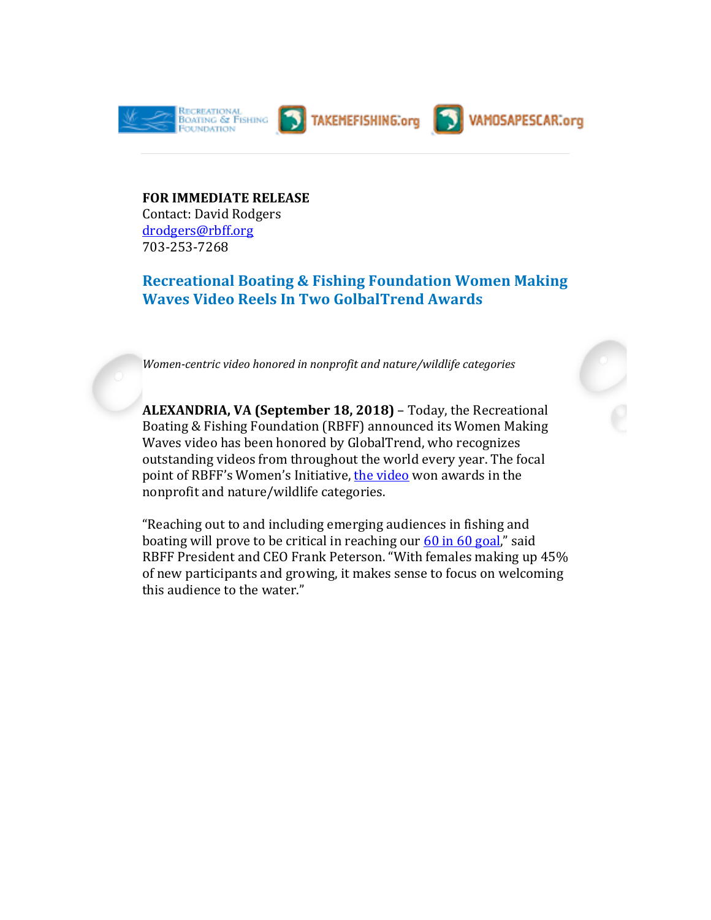

## **FOR IMMEDIATE RELEASE**

Contact: David Rodgers drodgers@rbff.org 703-253-7268

## **Recreational Boating & Fishing Foundation Women Making Waves Video Reels In Two GolbalTrend Awards**

*Women-centric video honored in nonprofit and nature/wildlife categories* 

**ALEXANDRIA, VA (September 18, 2018)** – Today, the Recreational Boating & Fishing Foundation (RBFF) announced its Women Making Waves video has been honored by GlobalTrend, who recognizes outstanding videos from throughout the world every year. The focal point of RBFF's Women's Initiative, the video won awards in the nonprofit and nature/wildlife categories.

"Reaching out to and including emerging audiences in fishing and boating will prove to be critical in reaching our  $60$  in  $60$  goal," said RBFF President and CEO Frank Peterson. "With females making up 45% of new participants and growing, it makes sense to focus on welcoming this audience to the water."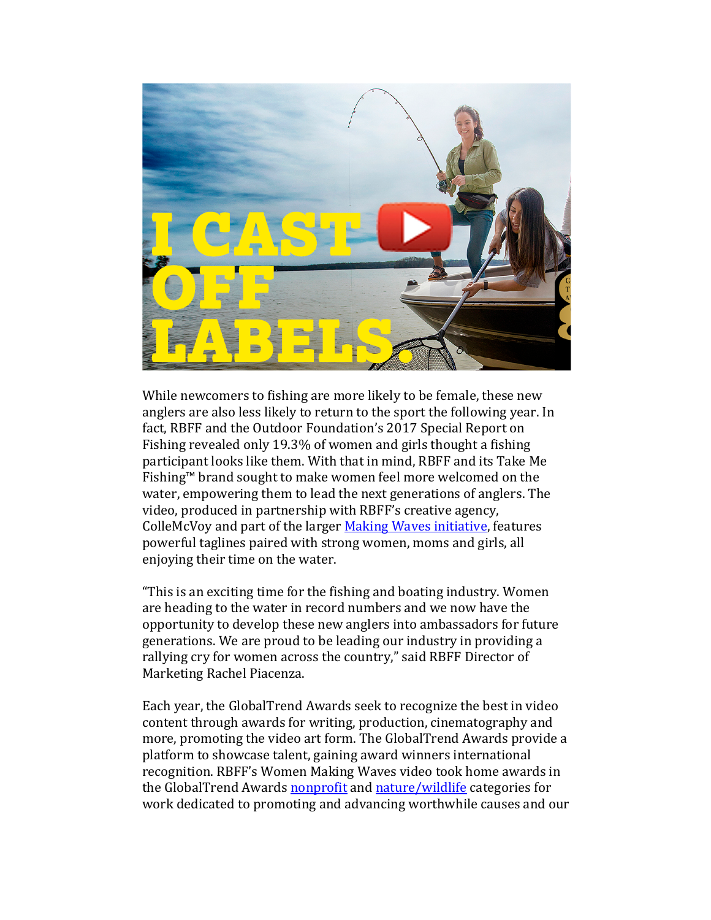

While newcomers to fishing are more likely to be female, these new anglers are also less likely to return to the sport the following year. In fact, RBFF and the Outdoor Foundation's 2017 Special Report on Fishing revealed only 19.3% of women and girls thought a fishing participant looks like them. With that in mind, RBFF and its Take Me Fishing™ brand sought to make women feel more welcomed on the water, empowering them to lead the next generations of anglers. The video, produced in partnership with RBFF's creative agency, ColleMcVoy and part of the larger Making Waves initiative, features powerful taglines paired with strong women, moms and girls, all enjoying their time on the water.

"This is an exciting time for the fishing and boating industry. Women are heading to the water in record numbers and we now have the opportunity to develop these new anglers into ambassadors for future generations. We are proud to be leading our industry in providing a rallying cry for women across the country," said RBFF Director of Marketing Rachel Piacenza.

Each year, the GlobalTrend Awards seek to recognize the best in video content through awards for writing, production, cinematography and more, promoting the video art form. The GlobalTrend Awards provide a platform to showcase talent, gaining award winners international recognition. RBFF's Women Making Waves video took home awards in the GlobalTrend Awards nonprofit and nature/wildlife categories for work dedicated to promoting and advancing worthwhile causes and our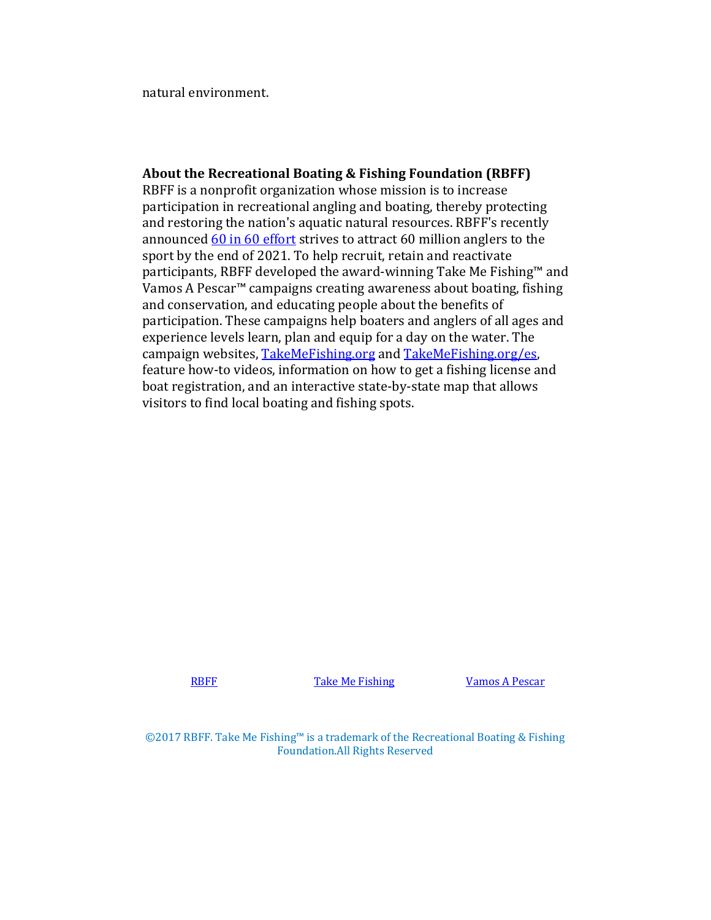natural environment.

## About the Recreational Boating & Fishing Foundation (RBFF)

RBFF is a nonprofit organization whose mission is to increase participation in recreational angling and boating, thereby protecting and restoring the nation's aquatic natural resources. RBFF's recently announced  $60$  in  $60$  effort strives to attract  $60$  million anglers to the sport by the end of 2021. To help recruit, retain and reactivate participants, RBFF developed the award-winning Take Me Fishing™ and Vamos A Pescar<sup>™</sup> campaigns creating awareness about boating, fishing and conservation, and educating people about the benefits of participation. These campaigns help boaters and anglers of all ages and experience levels learn, plan and equip for a day on the water. The campaign websites, TakeMeFishing.org and TakeMeFishing.org/es, feature how-to videos, information on how to get a fishing license and boat registration, and an interactive state-by-state map that allows visitors to find local boating and fishing spots.

RBFF Take Me Fishing Vamos A Pescar

©2017 RBFF. Take Me Fishing™ is a trademark of the Recreational Boating & Fishing Foundation.All Rights Reserved